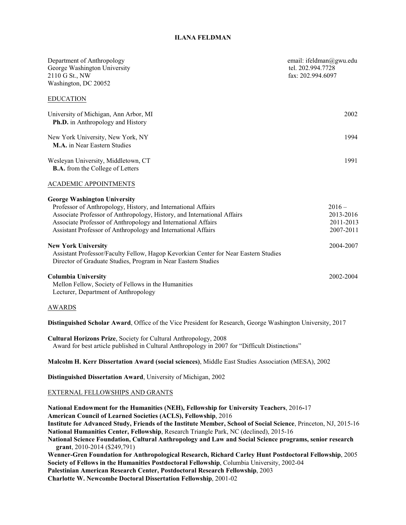# **ILANA FELDMAN**

| Department of Anthropology<br>George Washington University<br>2110 G St., NW<br>Washington, DC 20052                                                                                                                                                                                                                                                                    | email: ifeldman@gwu.edu<br>tel. 202.994.7728<br>fax: 202.994.6097 |
|-------------------------------------------------------------------------------------------------------------------------------------------------------------------------------------------------------------------------------------------------------------------------------------------------------------------------------------------------------------------------|-------------------------------------------------------------------|
| <b>EDUCATION</b>                                                                                                                                                                                                                                                                                                                                                        |                                                                   |
| University of Michigan, Ann Arbor, MI<br><b>Ph.D.</b> in Anthropology and History                                                                                                                                                                                                                                                                                       | 2002                                                              |
| New York University, New York, NY<br>M.A. in Near Eastern Studies                                                                                                                                                                                                                                                                                                       | 1994                                                              |
| Wesleyan University, Middletown, CT<br><b>B.A.</b> from the College of Letters                                                                                                                                                                                                                                                                                          | 1991                                                              |
| <b>ACADEMIC APPOINTMENTS</b>                                                                                                                                                                                                                                                                                                                                            |                                                                   |
| <b>George Washington University</b><br>Professor of Anthropology, History, and International Affairs<br>Associate Professor of Anthropology, History, and International Affairs<br>Associate Professor of Anthropology and International Affairs<br>Assistant Professor of Anthropology and International Affairs                                                       | $2016 -$<br>2013-2016<br>2011-2013<br>2007-2011                   |
| <b>New York University</b><br>Assistant Professor/Faculty Fellow, Hagop Kevorkian Center for Near Eastern Studies<br>Director of Graduate Studies, Program in Near Eastern Studies                                                                                                                                                                                      | 2004-2007                                                         |
| <b>Columbia University</b><br>Mellon Fellow, Society of Fellows in the Humanities<br>Lecturer, Department of Anthropology                                                                                                                                                                                                                                               | 2002-2004                                                         |
| <u>AWARDS</u>                                                                                                                                                                                                                                                                                                                                                           |                                                                   |
| Distinguished Scholar Award, Office of the Vice President for Research, George Washington University, 2017                                                                                                                                                                                                                                                              |                                                                   |
| Cultural Horizons Prize, Society for Cultural Anthropology, 2008<br>Award for best article published in Cultural Anthropology in 2007 for "Difficult Distinctions"                                                                                                                                                                                                      |                                                                   |
| Malcolm H. Kerr Dissertation Award (social sciences), Middle East Studies Association (MESA), 2002                                                                                                                                                                                                                                                                      |                                                                   |
| Distinguished Dissertation Award, University of Michigan, 2002                                                                                                                                                                                                                                                                                                          |                                                                   |
| <b>EXTERNAL FELLOWSHIPS AND GRANTS</b>                                                                                                                                                                                                                                                                                                                                  |                                                                   |
| National Endowment for the Humanities (NEH), Fellowship for University Teachers, 2016-17<br>American Council of Learned Societies (ACLS), Fellowship, 2016<br>Institute for Advanced Study, Friends of the Institute Member, School of Social Science, Princeton, NJ, 2015-16<br>National Humanities Center, Fellowship, Research Triangle Park, NC (declined), 2015-16 |                                                                   |

**National Science Foundation, Cultural Anthropology and Law and Social Science programs, senior research grant**, 2010-2014 (\$249,791)

**Wenner-Gren Foundation for Anthropological Research, Richard Carley Hunt Postdoctoral Fellowship**, 2005 **Society of Fellows in the Humanities Postdoctoral Fellowship**, Columbia University, 2002-04 **Palestinian American Research Center, Postdoctoral Research Fellowship**, 2003 **Charlotte W. Newcombe Doctoral Dissertation Fellowship**, 2001-02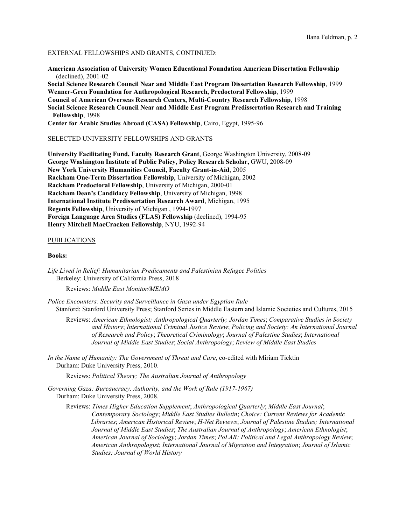#### EXTERNAL FELLOWSHIPS AND GRANTS, CONTINUED:

**American Association of University Women Educational Foundation American Dissertation Fellowship** (declined), 2001-02

**Social Science Research Council Near and Middle East Program Dissertation Research Fellowship**, 1999 **Wenner-Gren Foundation for Anthropological Research, Predoctoral Fellowship**, 1999

**Council of American Overseas Research Centers, Multi-Country Research Fellowship**, 1998

**Social Science Research Council Near and Middle East Program Predissertation Research and Training Fellowship**, 1998

**Center for Arabic Studies Abroad (CASA) Fellowship**, Cairo, Egypt, 1995-96

## SELECTED UNIVERSITY FELLOWSHIPS AND GRANTS

**University Facilitating Fund, Faculty Research Grant**, George Washington University, 2008-09 **George Washington Institute of Public Policy, Policy Research Scholar,** GWU, 2008-09 **New York University Humanities Council, Faculty Grant-in-Aid**, 2005 **Rackham One-Term Dissertation Fellowship**, University of Michigan, 2002 **Rackham Predoctoral Fellowship**, University of Michigan, 2000-01 **Rackham Dean's Candidacy Fellowship**, University of Michigan, 1998 **International Institute Predissertation Research Award**, Michigan, 1995 **Regents Fellowship**, University of Michigan , 1994-1997 **Foreign Language Area Studies (FLAS) Fellowship** (declined), 1994-95 **Henry Mitchell MacCracken Fellowship**, NYU, 1992-94

#### PUBLICATIONS

#### **Books:**

*Life Lived in Relief: Humanitarian Predicaments and Palestinian Refugee Politics* Berkeley: University of California Press, 2018

Reviews: *Middle East Monitor/MEMO*

*Police Encounters: Security and Surveillance in Gaza under Egyptian Rule* Stanford: Stanford University Press; Stanford Series in Middle Eastern and Islamic Societies and Cultures, 2015

 Reviews: *American Ethnologist; Anthropological Quarterly; Jordan Times*; *Comparative Studies in Society and History*; *International Criminal Justice Review*; *Policing and Society: An International Journal of Research and Policy*; *Theoretical Criminology*; *Journal of Palestine Studies*; *International Journal of Middle East Studies*; *Social Anthropology*; *Review of Middle East Studies*

*In the Name of Humanity: The Government of Threat and Care*, co-edited with Miriam Ticktin Durham: Duke University Press, 2010.

Reviews: *Political Theory; The Australian Journal of Anthropology*

*Governing Gaza: Bureaucracy, Authority, and the Work of Rule (1917-1967)* Durham: Duke University Press, 2008.

 Reviews: *Times Higher Education Supplement*; *Anthropological Quarterly*; *Middle East Journal*; *Contemporary Sociology*; *Middle East Studies Bulletin*; *Choice: Current Reviews for Academic Libraries*; *American Historical Review*; *H-Net Reviews*; *Journal of Palestine Studies; International Journal of Middle East Studies*; *The Australian Journal of Anthropology*; *American Ethnologist*;  *American Journal of Sociology*; *Jordan Times*; *PoLAR: Political and Legal Anthropology Review*;  *American Anthropologist*; *International Journal of Migration and Integration*; *Journal of Islamic Studies; Journal of World History*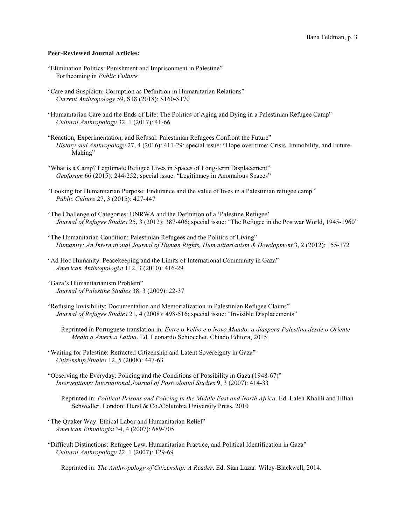## **Peer-Reviewed Journal Articles:**

- "Elimination Politics: Punishment and Imprisonment in Palestine" Forthcoming in *Public Culture*
- "Care and Suspicion: Corruption as Definition in Humanitarian Relations" *Current Anthropology* 59, S18 (2018): S160-S170
- "Humanitarian Care and the Ends of Life: The Politics of Aging and Dying in a Palestinian Refugee Camp" *Cultural Anthropology* 32, 1 (2017): 41-66
- "Reaction, Experimentation, and Refusal: Palestinian Refugees Confront the Future" *History and Anthropology* 27, 4 (2016): 411-29; special issue: "Hope over time: Crisis, Immobility, and Future-Making"
- "What is a Camp? Legitimate Refugee Lives in Spaces of Long-term Displacement" *Geoforum* 66 (2015): 244-252; special issue: "Legitimacy in Anomalous Spaces"
- "Looking for Humanitarian Purpose: Endurance and the value of lives in a Palestinian refugee camp" *Public Culture* 27, 3 (2015): 427-447
- "The Challenge of Categories: UNRWA and the Definition of a 'Palestine Refugee' *Journal of Refugee Studies* 25, 3 (2012): 387-406; special issue: "The Refugee in the Postwar World, 1945-1960"
- "The Humanitarian Condition: Palestinian Refugees and the Politics of Living" *Humanity: An International Journal of Human Rights, Humanitarianism & Development* 3, 2 (2012): 155-172
- "Ad Hoc Humanity: Peacekeeping and the Limits of International Community in Gaza" *American Anthropologist* 112, 3 (2010): 416-29
- "Gaza's Humanitarianism Problem" *Journal of Palestine Studies* 38, 3 (2009): 22-37
- "Refusing Invisibility: Documentation and Memorialization in Palestinian Refugee Claims" *Journal of Refugee Studies* 21, 4 (2008): 498-516; special issue: "Invisible Displacements"
	- Reprinted in Portuguese translation in: *Entre o Velho e o Novo Mundo: a diaspora Palestina desde o Oriente Medio a America Latina*. Ed. Leonardo Schiocchet. Chiado Editora, 2015.
- "Waiting for Palestine: Refracted Citizenship and Latent Sovereignty in Gaza" *Citizenship Studies* 12, 5 (2008): 447-63
- "Observing the Everyday: Policing and the Conditions of Possibility in Gaza (1948-67)" *Interventions: International Journal of Postcolonial Studies* 9, 3 (2007): 414-33
	- Reprinted in: *Political Prisons and Policing in the Middle East and North Africa*. Ed. Laleh Khalili and Jillian Schwedler. London: Hurst & Co./Columbia University Press, 2010
- "The Quaker Way: Ethical Labor and Humanitarian Relief" *American Ethnologist* 34, 4 (2007): 689-705
- "Difficult Distinctions: Refugee Law, Humanitarian Practice, and Political Identification in Gaza" *Cultural Anthropology* 22, 1 (2007): 129-69

Reprinted in: *The Anthropology of Citizenship: A Reader*. Ed. Sian Lazar. Wiley-Blackwell, 2014.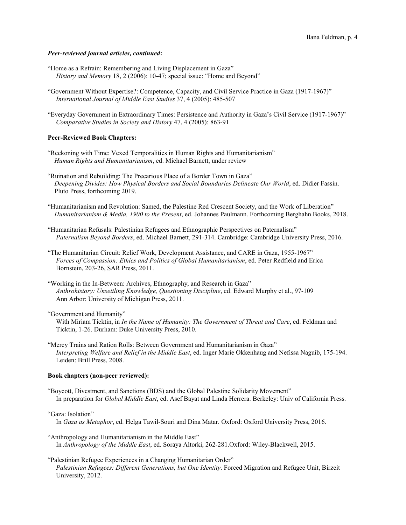## *Peer-reviewed journal articles, continued***:**

- "Home as a Refrain: Remembering and Living Displacement in Gaza" *History and Memory* 18, 2 (2006): 10-47; special issue: "Home and Beyond"
- "Government Without Expertise?: Competence, Capacity, and Civil Service Practice in Gaza (1917-1967)" *International Journal of Middle East Studies* 37, 4 (2005): 485-507
- "Everyday Government in Extraordinary Times: Persistence and Authority in Gaza's Civil Service (1917-1967)" *Comparative Studies in Society and History* 47, 4 (2005): 863-91

#### **Peer-Reviewed Book Chapters:**

- "Reckoning with Time: Vexed Temporalities in Human Rights and Humanitarianism" *Human Rights and Humanitarianism*, ed. Michael Barnett, under review
- "Ruination and Rebuilding: The Precarious Place of a Border Town in Gaza" *Deepening Divides: How Physical Borders and Social Boundaries Delineate Our World*, ed. Didier Fassin. Pluto Press, forthcoming 2019.
- "Humanitarianism and Revolution: Samed, the Palestine Red Crescent Society, and the Work of Liberation" *Humanitarianism & Media, 1900 to the Present*, ed. Johannes Paulmann. Forthcoming Berghahn Books, 2018.
- "Humanitarian Refusals: Palestinian Refugees and Ethnographic Perspectives on Paternalism" *Paternalism Beyond Borders*, ed. Michael Barnett, 291-314. Cambridge: Cambridge University Press, 2016.
- "The Humanitarian Circuit: Relief Work, Development Assistance, and CARE in Gaza, 1955-1967" *Forces of Compassion: Ethics and Politics of Global Humanitarianism*, ed. Peter Redfield and Erica Bornstein, 203-26, SAR Press, 2011.
- "Working in the In-Between: Archives, Ethnography, and Research in Gaza" *Anthrohistory: Unsettling Knowledge, Questioning Discipline*, ed. Edward Murphy et al., 97-109 Ann Arbor: University of Michigan Press, 2011.
- "Government and Humanity"
	- With Miriam Ticktin, in *In the Name of Humanity: The Government of Threat and Care*, ed. Feldman and Ticktin, 1-26. Durham: Duke University Press, 2010.
- "Mercy Trains and Ration Rolls: Between Government and Humanitarianism in Gaza" *Interpreting Welfare and Relief in the Middle East*, ed. Inger Marie Okkenhaug and Nefissa Naguib, 175-194. Leiden: Brill Press, 2008.

#### **Book chapters (non-peer reviewed):**

"Boycott, Divestment, and Sanctions (BDS) and the Global Palestine Solidarity Movement" In preparation for *Global Middle East*, ed. Asef Bayat and Linda Herrera. Berkeley: Univ of California Press.

#### "Gaza: Isolation"

- In *Gaza as Metaphor*, ed. Helga Tawil-Souri and Dina Matar. Oxford: Oxford University Press, 2016.
- "Anthropology and Humanitarianism in the Middle East" In *Anthropology of the Middle East*, ed. Soraya Altorki, 262-281.Oxford: Wiley-Blackwell, 2015.
- "Palestinian Refugee Experiences in a Changing Humanitarian Order" *Palestinian Refugees: Different Generations, but One Identity*. Forced Migration and Refugee Unit, Birzeit University, 2012.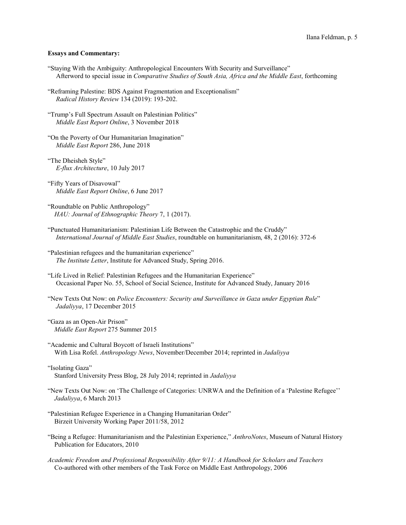## **Essays and Commentary:**

- "Staying With the Ambiguity: Anthropological Encounters With Security and Surveillance" Afterword to special issue in *Comparative Studies of South Asia, Africa and the Middle East*, forthcoming
- "Reframing Palestine: BDS Against Fragmentation and Exceptionalism" *Radical History Review* 134 (2019): 193-202.
- "Trump's Full Spectrum Assault on Palestinian Politics" *Middle East Report Online*, 3 November 2018
- "On the Poverty of Our Humanitarian Imagination" *Middle East Report* 286, June 2018
- "The Dheisheh Style" *E-flux Architecture*, 10 July 2017
- "Fifty Years of Disavowal" *Middle East Report Online*, 6 June 2017
- "Roundtable on Public Anthropology" *HAU: Journal of Ethnographic Theory* 7, 1 (2017).
- "Punctuated Humanitarianism: Palestinian Life Between the Catastrophic and the Cruddy" *International Journal of Middle East Studies*, roundtable on humanitarianism, 48, 2 (2016): 372-6
- "Palestinian refugees and the humanitarian experience" *The Institute Letter*, Institute for Advanced Study, Spring 2016.
- "Life Lived in Relief: Palestinian Refugees and the Humanitarian Experience" Occasional Paper No. 55, School of Social Science, Institute for Advanced Study, January 2016
- "New Texts Out Now: on *Police Encounters: Security and Surveillance in Gaza under Egyptian Rule*" *Jadaliyya*, 17 December 2015
- "Gaza as an Open-Air Prison" *Middle East Report* 275 Summer 2015
- "Academic and Cultural Boycott of Israeli Institutions" With Lisa Rofel. *Anthropology News*, November/December 2014; reprinted in *Jadaliyya*
- "Isolating Gaza" Stanford University Press Blog, 28 July 2014; reprinted in *Jadaliyya*
- "New Texts Out Now: on 'The Challenge of Categories: UNRWA and the Definition of a 'Palestine Refugee'' *Jadaliyya*, 6 March 2013
- "Palestinian Refugee Experience in a Changing Humanitarian Order" Birzeit University Working Paper 2011/58, 2012
- "Being a Refugee: Humanitarianism and the Palestinian Experience," *AnthroNotes*, Museum of Natural History Publication for Educators, 2010
- *Academic Freedom and Professional Responsibility After 9/11: A Handbook for Scholars and Teachers* Co-authored with other members of the Task Force on Middle East Anthropology, 2006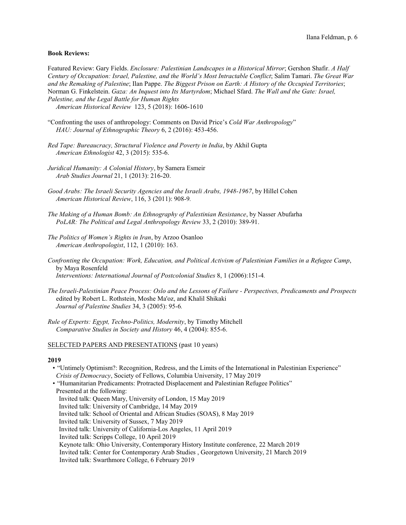# **Book Reviews:**

Featured Review: Gary Fields. *Enclosure: Palestinian Landscapes in a Historical Mirror*; Gershon Shafir. *A Half Century of Occupation: Israel, Palestine, and the World's Most Intractable Conflict*; Salim Tamari. *The Great War and the Remaking of Palestine*; Ilan Pappe. *The Biggest Prison on Earth: A History of the Occupied Territories*; Norman G. Finkelstein. *Gaza: An Inquest into Its Martyrdom*; Michael Sfard. *The Wall and the Gate: Israel, Palestine, and the Legal Battle for Human Rights*

*American Historical Review* 123, 5 (2018): 1606-1610

- "Confronting the uses of anthropology: Comments on David Price's *Cold War Anthropology*" *HAU: Journal of Ethnographic Theory* 6, 2 (2016): 453-456.
- *Red Tape: Bureaucracy, Structural Violence and Poverty in India*, by Akhil Gupta *American Ethnologist* 42, 3 (2015): 535-6.
- *Juridical Humanity: A Colonial History*, by Samera Esmeir *Arab Studies Journal* 21, 1 (2013): 216-20.
- Good Arabs: The Israeli Security Agencies and the Israeli Arabs, 1948-1967, by Hillel Cohen *American Historical Review*, 116, 3 (2011): 908-9*.*
- *The Making of a Human Bomb: An Ethnography of Palestinian Resistance*, by Nasser Abufarha *PoLAR: The Political and Legal Anthropology Review* 33, 2 (2010): 389-91.
- *The Politics of Women's Rights in Iran*, by Arzoo Osanloo *American Anthropologist*, 112, 1 (2010): 163.
- *Confronting the Occupation: Work, Education, and Political Activism of Palestinian Families in a Refugee Camp*, by Maya Rosenfeld *Interventions: International Journal of Postcolonial Studies* 8, 1 (2006):151-4*.*
- *The Israeli-Palestinian Peace Process: Oslo and the Lessons of Failure Perspectives, Predicaments and Prospects* edited by Robert L. Rothstein, Moshe Ma'oz, and Khalil Shikaki *Journal of Palestine Studies* 34, 3 (2005): 95-6*.*
- *Rule of Experts: Egypt, Techno-Politics, Modernity*, by Timothy Mitchell *Comparative Studies in Society and History* 46, 4 (2004): 855-6.

#### SELECTED PAPERS AND PRESENTATIONS (past 10 years)

- "Untimely Optimism?: Recognition, Redress, and the Limits of the International in Palestinian Experience" *Crisis of Democracy*, Society of Fellows, Columbia University, 17 May 2019
- "Humanitarian Predicaments: Protracted Displacement and Palestinian Refugee Politics" Presented at the following: Invited talk: Queen Mary, University of London, 15 May 2019 Invited talk: University of Cambridge, 14 May 2019 Invited talk: School of Oriental and African Studies (SOAS), 8 May 2019 Invited talk: University of Sussex, 7 May 2019 Invited talk: University of California-Los Angeles, 11 April 2019 Invited talk: Scripps College, 10 April 2019 Keynote talk: Ohio University, Contemporary History Institute conference, 22 March 2019 Invited talk: Center for Contemporary Arab Studies , Georgetown University, 21 March 2019 Invited talk: Swarthmore College, 6 February 2019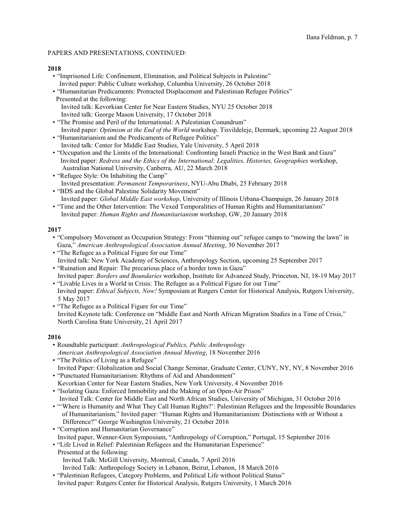# **2018**

- "Imprisoned Life: Confinement, Elimination, and Political Subjects in Palestine" Invited paper: Public Culture workshop, Columbia University, 26 October 2018
- "Humanitarian Predicaments: Protracted Displacement and Palestinian Refugee Politics" Presented at the following: Invited talk: Kevorkian Center for Near Eastern Studies, NYU 25 October 2018 Invited talk: George Mason University, 17 October 2018
- "The Promise and Peril of the International: A Palestinian Conundrum" Invited paper: *Optimism at the End of the World* workshop. Tisvildeleje, Denmark, upcoming 22 August 2018
- "Humanitarianism and the Predicaments of Refugee Politics" Invited talk: Center for Middle East Studies, Yale University, 5 April 2018
- "Occupation and the Limits of the International: Confronting Israeli Practice in the West Bank and Gaza" Invited paper: *Redress and the Ethics of the International: Legalities, Histories, Geographies* workshop, Australian National University, Canberra, AU, 22 March 2018
- "Refugee Style: On Inhabiting the Camp" Invited presentation: *Permanent Temporariness*, NYU-Abu Dhabi, 25 February 2018
- "BDS and the Global Palestine Solidarity Movement" Invited paper: *Global Middle East workshop*, University of Illinois Urbana-Champaign, 26 January 2018
- "Time and the Other Intervention: The Vexed Temporalities of Human Rights and Humanitarianism" Invited paper: *Human Rights and Humanitarianism* workshop, GW, 20 January 2018

# **2017**

- "Compulsory Movement as Occupation Strategy: From "thinning out" refugee camps to "mowing the lawn" in Gaza," *American Anthropological Association Annual Meeting*, 30 November 2017
- "The Refugee as a Political Figure for our Time" Invited talk: New York Academy of Sciences, Anthropology Section, upcoming 25 September 2017
- "Ruination and Repair: The precarious place of a border town in Gaza" Invited paper: *Borders and Boundaries* workshop, Institute for Advanced Study, Princeton, NJ, 18-19 May 2017
- "Livable Lives in a World in Crisis: The Refugee as a Political Figure for our Time" Invited paper: *Ethical Subjects, Now!* Symposium at Rutgers Center for Historical Analysis, Rutgers University, 5 May 2017
- "The Refugee as a Political Figure for our Time" Invited Keynote talk: Conference on "Middle East and North African Migration Studies in a Time of Crisis," North Carolina State University, 21 April 2017

- Roundtable participant: *Anthropological Publics, Public Anthropology American Anthropological Association Annual Meeting*, 18 November 2016
- "The Politics of Living as a Refugee" Invited Paper: Globalization and Social Change Seminar, Graduate Center, CUNY, NY, NY, 8 November 2016
- "Punctuated Humanitarianism: Rhythms of Aid and Abandonment" Kevorkian Center for Near Eastern Studies, New York University, 4 November 2016
- "Isolating Gaza: Enforced Immobility and the Making of an Open-Air Prison" Invited Talk: Center for Middle East and North African Studies, University of Michigan, 31 October 2016
- "'Where is Humanity and What They Call Human Rights?': Palestinian Refugees and the Impossible Boundaries of Humanitarianism," Invited paper: "Human Rights and Humanitarianism: Distinctions with or Without a Difference?" George Washington University, 21 October 2016
- "Corruption and Humanitarian Governance" Invited paper, Wenner-Gren Symposium, "Anthropology of Corruption," Portugal, 15 September 2016
- "Life Lived in Relief: Palestinian Refugees and the Humanitarian Experience"
	- Presented at the following: Invited Talk: McGill University, Montreal, Canada, 7 April 2016 Invited Talk: Anthropology Society in Lebanon, Beirut, Lebanon, 18 March 2016
- "Palestinian Refugees, Category Problems, and Political Life without Political Status" Invited paper: Rutgers Center for Historical Analysis, Rutgers University, 1 March 2016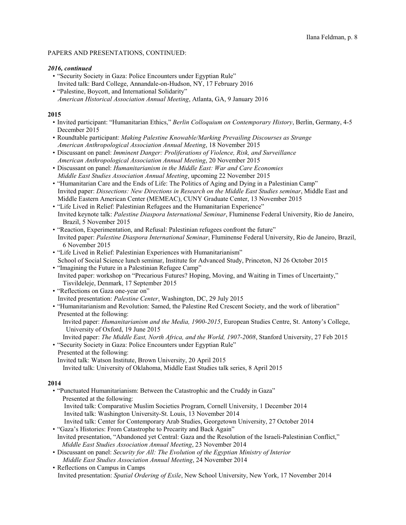## *2016, continued*

- "Security Society in Gaza: Police Encounters under Egyptian Rule" Invited talk: Bard College, Annandale-on-Hudson, NY, 17 February 2016
- "Palestine, Boycott, and International Solidarity" *American Historical Association Annual Meeting*, Atlanta, GA, 9 January 2016

## **2015**

- Invited participant: "Humanitarian Ethics," *Berlin Colloquium on Contemporary History*, Berlin, Germany, 4-5 December 2015
- Roundtable participant: *Making Palestine Knowable/Marking Prevailing Discourses as Strange American Anthropological Association Annual Meeting*, 18 November 2015
- Discussant on panel: *Imminent Danger: Proliferations of Violence, Risk, and Surveillance American Anthropological Association Annual Meeting*, 20 November 2015
- Discussant on panel: *Humanitarianism in the Middle East: War and Care Economies Middle East Studies Association Annual Meeting*, upcoming 22 November 2015
- "Humanitarian Care and the Ends of Life: The Politics of Aging and Dying in a Palestinian Camp" Invited paper: *Dissections: New Directions in Research on the Middle East Studies seminar*, Middle East and Middle Eastern American Center (MEMEAC), CUNY Graduate Center, 13 November 2015
- "Life Lived in Relief: Palestinian Refugees and the Humanitarian Experience" Invited keynote talk: *Palestine Diaspora International Seminar*, Fluminense Federal University, Rio de Janeiro, Brazil, 5 November 2015
- "Reaction, Experimentation, and Refusal: Palestinian refugees confront the future" Invited paper: *Palestine Diaspora International Seminar*, Fluminense Federal University, Rio de Janeiro, Brazil, 6 November 2015
- "Life Lived in Relief: Palestinian Experiences with Humanitarianism" School of Social Science lunch seminar, Institute for Advanced Study, Princeton, NJ 26 October 2015
- "Imagining the Future in a Palestinian Refugee Camp" Invited paper: workshop on "Precarious Futures? Hoping, Moving, and Waiting in Times of Uncertainty," Tisvildeleje, Denmark, 17 September 2015
- "Reflections on Gaza one-year on" Invited presentation: *Palestine Center*, Washington, DC, 29 July 2015
- "Humanitarianism and Revolution: Samed, the Palestine Red Crescent Society, and the work of liberation" Presented at the following:
	- Invited paper: *Humanitarianism and the Media, 1900-2015*, European Studies Centre, St. Antony's College, University of Oxford, 19 June 2015
	- Invited paper: *The Middle East, North Africa, and the World, 1907-2008*, Stanford University, 27 Feb 2015
- "Security Society in Gaza: Police Encounters under Egyptian Rule" Presented at the following: Invited talk: Watson Institute, Brown University, 20 April 2015
	- Invited talk: University of Oklahoma, Middle East Studies talk series, 8 April 2015

- "Punctuated Humanitarianism: Between the Catastrophic and the Cruddy in Gaza" Presented at the following: Invited talk: Comparative Muslim Societies Program, Cornell University, 1 December 2014 Invited talk: Washington University-St. Louis, 13 November 2014 Invited talk: Center for Contemporary Arab Studies, Georgetown University, 27 October 2014
- "Gaza's Histories: From Catastrophe to Precarity and Back Again" Invited presentation, "Abandoned yet Central: Gaza and the Resolution of the Israeli-Palestinian Conflict," *Middle East Studies Association Annual Meeting*, 23 November 2014
- Discussant on panel: *Security for All: The Evolution of the Egyptian Ministry of Interior Middle East Studies Association Annual Meeting*, 24 November 2014
- Reflections on Campus in Camps Invited presentation: *Spatial Ordering of Exile*, New School University, New York, 17 November 2014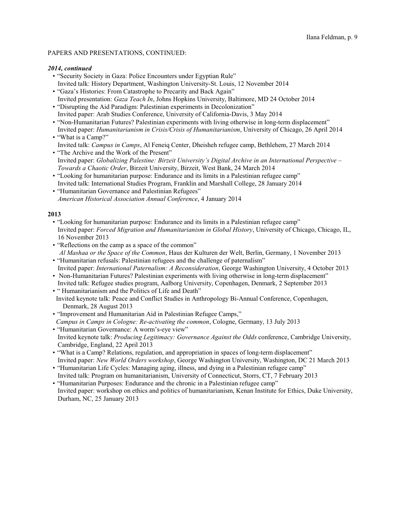## *2014, continued*

- "Security Society in Gaza: Police Encounters under Egyptian Rule" Invited talk: History Department, Washington University-St. Louis, 12 November 2014
- "Gaza's Histories: From Catastrophe to Precarity and Back Again" Invited presentation: *Gaza Teach In*, Johns Hopkins University, Baltimore, MD 24 October 2014
- "Disrupting the Aid Paradigm: Palestinian experiments in Decolonization" Invited paper: Arab Studies Conference, University of California-Davis, 3 May 2014
- "Non-Humanitarian Futures? Palestinian experiments with living otherwise in long-term displacement" Invited paper: *Humanitarianism in Crisis/Crisis of Humanitarianism*, University of Chicago, 26 April 2014
- "What is a Camp?" Invited talk: *Campus in Camps*, Al Feneiq Center, Dheisheh refugee camp, Bethlehem, 27 March 2014
- "The Archive and the Work of the Present" Invited paper: *Globalizing Palestine: Birzeit University's Digital Archive in an International Perspective – Towards a Chaotic Order*, Birzeit University, Birzeit, West Bank, 24 March 2014
- "Looking for humanitarian purpose: Endurance and its limits in a Palestinian refugee camp" Invited talk: International Studies Program, Franklin and Marshall College, 28 January 2014
- "Humanitarian Governance and Palestinian Refugees" *American Historical Association Annual Conference*, 4 January 2014

- "Looking for humanitarian purpose: Endurance and its limits in a Palestinian refugee camp" Invited paper: *Forced Migration and Humanitarianism in Global History*, University of Chicago, Chicago, IL, 16 November 2013
- "Reflections on the camp as a space of the common" *Al Mashaa or the Space of the Common*, Haus der Kulturen der Welt, Berlin, Germany, 1 November 2013
- "Humanitarian refusals: Palestinian refugees and the challenge of paternalism" Invited paper: *International Paternalism: A Reconsideration*, George Washington University, 4 October 2013
- Non-Humanitarian Futures? Palestinian experiments with living otherwise in long-term displacement" Invited talk: Refugee studies program, Aalborg University, Copenhagen, Denmark, 2 September 2013
- " Humanitarianism and the Politics of Life and Death" Invited keynote talk: Peace and Conflict Studies in Anthropology Bi-Annual Conference, Copenhagen,
- Denmark, 28 August 2013 • "Improvement and Humanitarian Aid in Palestinian Refugee Camps," *Campus in Camps in Cologne: Re-activating the common*, Cologne, Germany, 13 July 2013
- "Humanitarian Governance: A worm's-eye view" Invited keynote talk: *Producing Legitimacy: Governance Against the Odds* conference, Cambridge University, Cambridge, England, 22 April 2013
- "What is a Camp? Relations, regulation, and appropriation in spaces of long-term displacement" Invited paper: *New World Orders workshop*, George Washington University, Washington, DC 21 March 2013
- "Humanitarian Life Cycles: Managing aging, illness, and dying in a Palestinian refugee camp" Invited talk: Program on humanitarianism, University of Connecticut, Storrs, CT, 7 February 2013
- "Humanitarian Purposes: Endurance and the chronic in a Palestinian refugee camp" Invited paper: workshop on ethics and politics of humanitarianism, Kenan Institute for Ethics, Duke University, Durham, NC, 25 January 2013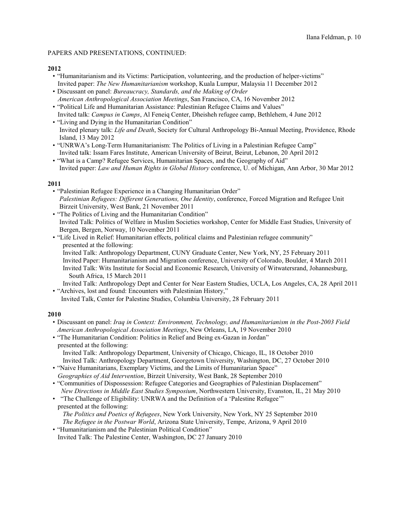# **2012**

- "Humanitarianism and its Victims: Participation, volunteering, and the production of helper-victims" Invited paper: *The New Humanitarianism* workshop, Kuala Lumpur, Malaysia 11 December 2012
- Discussant on panel: *Bureaucracy, Standards, and the Making of Order American Anthropological Association Meetings*, San Francisco, CA, 16 November 2012
- "Political Life and Humanitarian Assistance: Palestinian Refugee Claims and Values" Invited talk: *Campus in Camps*, Al Feneiq Center, Dheisheh refugee camp, Bethlehem, 4 June 2012
- "Living and Dying in the Humanitarian Condition" Invited plenary talk: *Life and Death*, Society for Cultural Anthropology Bi-Annual Meeting, Providence, Rhode Island, 13 May 2012
- "UNRWA's Long-Term Humanitarianism: The Politics of Living in a Palestinian Refugee Camp" Invited talk: Issam Fares Institute, American University of Beirut, Beirut, Lebanon, 20 April 2012
- "What is a Camp? Refugee Services, Humanitarian Spaces, and the Geography of Aid" Invited paper: *Law and Human Rights in Global History* conference, U. of Michigan, Ann Arbor, 30 Mar 2012

# **2011**

- "Palestinian Refugee Experience in a Changing Humanitarian Order" *Palestinian Refugees: Different Generations, One Identity*, conference, Forced Migration and Refugee Unit Birzeit University, West Bank, 21 November 2011
- "The Politics of Living and the Humanitarian Condition" Invited Talk: Politics of Welfare in Muslim Societies workshop, Center for Middle East Studies, University of Bergen, Bergen, Norway, 10 November 2011
- "Life Lived in Relief: Humanitarian effects, political claims and Palestinian refugee community" presented at the following:
	- Invited Talk: Anthropology Department, CUNY Graduate Center, New York, NY, 25 February 2011 Invited Paper: Humanitarianism and Migration conference, University of Colorado, Boulder, 4 March 2011 Invited Talk: Wits Institute for Social and Economic Research, University of Witwatersrand, Johannesburg, South Africa, 15 March 2011

 Invited Talk: Anthropology Dept and Center for Near Eastern Studies, UCLA, Los Angeles, CA, 28 April 2011 • "Archives, lost and found: Encounters with Palestinian History,"

Invited Talk, Center for Palestine Studies, Columbia University, 28 February 2011

- Discussant on panel: *Iraq in Context: Environment, Technology, and Humanitarianism in the Post-2003 Field American Anthropological Association Meetings*, New Orleans, LA, 19 November 2010
- "The Humanitarian Condition: Politics in Relief and Being ex-Gazan in Jordan" presented at the following: Invited Talk: Anthropology Department, University of Chicago, Chicago, IL, 18 October 2010 Invited Talk: Anthropology Department, Georgetown University, Washington, DC, 27 October 2010
- "Naive Humanitarians, Exemplary Victims, and the Limits of Humanitarian Space"  *Geographies of Aid Intervention*, Birzeit University, West Bank, 28 September 2010
- "Communities of Dispossession: Refugee Categories and Geographies of Palestinian Displacement" *New Directions in Middle East Studies Symposium*, Northwestern University, Evanston, IL, 21 May 2010
- "The Challenge of Eligibility: UNRWA and the Definition of a 'Palestine Refugee'" presented at the following: *The Politics and Poetics of Refugees*, New York University, New York, NY 25 September 2010 *The Refugee in the Postwar World*, Arizona State University, Tempe, Arizona, 9 April 2010
- "Humanitarianism and the Palestinian Political Condition" Invited Talk: The Palestine Center, Washington, DC 27 January 2010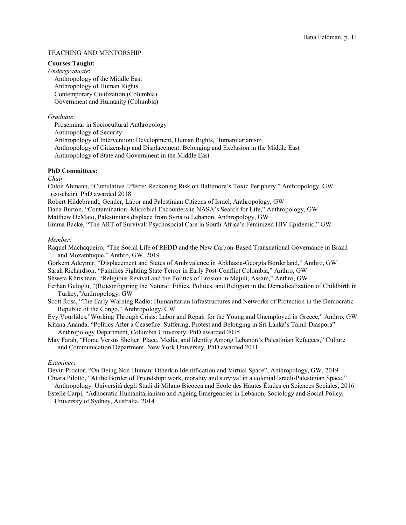# TEACHING AND MENTORSHIP

#### **Courses Taught:**

*Undergraduate*: Anthropology of the Middle East Anthropology of Human Rights Contemporary Civilization (Columbia) Government and Humanity (Columbia)

#### *Graduate*:

 Proseminar in Sociocultural Anthropology Anthropology of Security Anthropology of Intervention: Development, Human Rights, Humanitarianism Anthropology of Citizenship and Displacement: Belonging and Exclusion in the Middle East Anthropology of State and Government in the Middle East

# **PhD Committees:**

*Chair*:

Chloe Ahmann, "Cumulative Effects: Reckoning Risk on Baltimore's Toxic Periphery," Anthropology, GW (co-chair). PhD awarded 2018.

Robert Hildebrandt, Gender, Labor and Palestinian Citizens of Israel, Anthropology, GW

Dana Burton, "Contamination: Microbial Encounters in NASA's Search for Life," Anthropology, GW

Matthew DeMaio, Palestinians displace from Syria to Lebanon, Anthropology, GW

Emma Backe, "The ART of Survival: Psychosocial Care in South Africa's Feminized HIV Epidemic," GW

# *Member:*

Raquel Machaqueiro, "The Social Life of REDD and the New Carbon-Based Transnational Governance in Brazil and Mozambique," Anthro, GW, 2019

Gorkem Adeymir, "Displacement and States of Ambivalence in Abkhazia-Georgia Borderland," Anthro, GW Sarah Richardson, "Families Fighting State Terror in Early Post-Conflict Colombia," Anthro, GW Shweta Khrishnan, "Religious Revival and the Politics of Erosion in Majuli, Assam," Anthro, GW

Ferhan Guloglu, "(Re)configuring the Natural: Ethics, Politics, and Religion in the Demedicalization of Childbirth in Turkey,"Anthropology, GW

Scott Ross, "The Early Warning Radio: Humanitarian Infrastructures and Networks of Protection in the Democratic Republic of the Congo," Anthropology, GW

Evy Vourlides,"Working Through Crisis: Labor and Repair for the Young and Unemployed in Greece," Anthro, GW

Kitana Ananda, "Politics After a Ceasefire: Suffering, Protest and Belonging in Sri Lanka's Tamil Diaspora" Anthropology Department, Columbia University, PhD awarded 2015

May Farah, "Home Versus Shelter: Place, Media, and Identity Among Lebanon's Palestinian Refugees," Culture and Communication Department, New York University, PhD awarded 2011

# *Examiner*:

Devin Proctor, "On Being Non-Human: Otherkin Identification and Virtual Space", Anthropology, GW, 2019 Chiara Pilotto, "At the Border of Friendship: work, morality and survival in a colonial Israeli-Palestinian Space,"

 Anthropology, Università degli Studi di Milano Bicocca and École des Hautes Études en Sciences Sociales, 2016 Estelle Carpi, "Adhocratic Humanitarianism and Ageing Emergencies in Lebanon, Sociology and Social Policy,

University of Sydney, Australia, 2014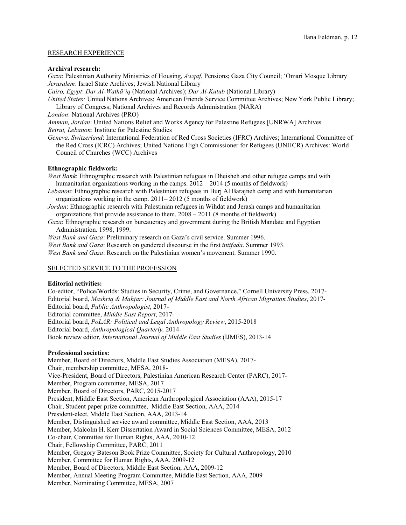## RESEARCH EXPERIENCE

# **Archival research:**

*Gaza*: Palestinian Authority Ministries of Housing, *Awqaf*, Pensions; Gaza City Council; 'Omari Mosque Library *Jerusalem*: Israel State Archives; Jewish National Library

*Cairo, Egypt*: *Dar Al-Wathâ'iq* (National Archives); *Dar Al-Kutub* (National Library)

*United States:* United Nations Archives; American Friends Service Committee Archives; New York Public Library; Library of Congress; National Archives and Records Administration (NARA)

*London*: National Archives (PRO)

*Amman, Jordan*: United Nations Relief and Works Agency for Palestine Refugees [UNRWA] Archives

*Beirut, Lebanon*: Institute for Palestine Studies

*Geneva, Switzerland*: International Federation of Red Cross Societies (IFRC) Archives; International Committee of the Red Cross (ICRC) Archives; United Nations High Commissioner for Refugees (UNHCR) Archives: World Council of Churches (WCC) Archives

# **Ethnographic fieldwork:**

*West Bank*: Ethnographic research with Palestinian refugees in Dheisheh and other refugee camps and with humanitarian organizations working in the camps.  $2012 - 2014$  (5 months of fieldwork)

- *Lebanon*: Ethnographic research with Palestinian refugees in Burj Al Barajneh camp and with humanitarian organizations working in the camp. 2011– 2012 (5 months of fieldwork)
- *Jordan*: Ethnographic research with Palestinian refugees in Wihdat and Jerash camps and humanitarian organizations that provide assistance to them. 2008 – 2011 (8 months of fieldwork)
- *Gaza*: Ethnographic research on bureaucracy and government during the British Mandate and Egyptian Administration. 1998, 1999.

*West Bank and Gaza*: Preliminary research on Gaza's civil service. Summer 1996.

*West Bank and Gaza*: Research on gendered discourse in the first *intifada*. Summer 1993.

*West Bank and Gaza*: Research on the Palestinian women's movement. Summer 1990.

# SELECTED SERVICE TO THE PROFESSION

# **Editorial activities:**

Co-editor, "Police/Worlds: Studies in Security, Crime, and Governance," Cornell University Press, 2017- Editorial board, *Mashriq & Mahjar: Journal of Middle East and North African Migration Studies*, 2017- Editorial board, *Public Anthropologist*, 2017- Editorial committee, *Middle East Report*, 2017- Editorial board, *PoLAR: Political and Legal Anthropology Review*, 2015-2018 Editorial board, *Anthropological Quarterly,* 2014- Book review editor, *International Journal of Middle East Studies* (IJMES), 2013-14

#### **Professional societies:**

Member, Board of Directors, Middle East Studies Association (MESA), 2017- Chair, membership committee, MESA, 2018- Vice-President, Board of Directors, Palestinian American Research Center (PARC), 2017- Member, Program committee, MESA, 2017 Member, Board of Directors, PARC, 2015-2017 President, Middle East Section, American Anthropological Association (AAA), 2015-17 Chair, Student paper prize committee, Middle East Section, AAA, 2014 President-elect, Middle East Section, AAA, 2013-14 Member, Distinguished service award committee, Middle East Section, AAA, 2013 Member, Malcolm H. Kerr Dissertation Award in Social Sciences Committee, MESA, 2012 Co-chair, Committee for Human Rights, AAA, 2010-12 Chair, Fellowship Committee, PARC, 2011 Member, Gregory Bateson Book Prize Committee, Society for Cultural Anthropology, 2010 Member, Committee for Human Rights, AAA, 2009-12 Member, Board of Directors, Middle East Section, AAA, 2009-12 Member, Annual Meeting Program Committee, Middle East Section, AAA, 2009 Member, Nominating Committee, MESA, 2007